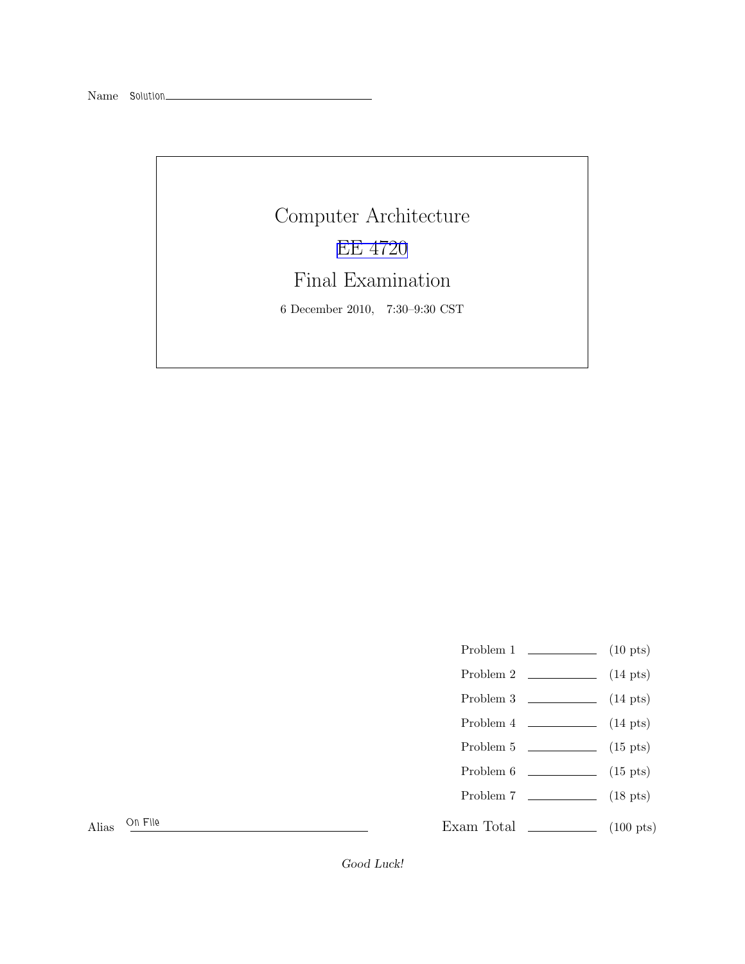Name *Solution*

Computer Architecture [EE 4720](http://www.ece.lsu.edu/ee4720/) Final Examination 6 December 2010, 7:30–9:30 CST

Problem 1  $\qquad \qquad$  (10 pts)

- Problem 2  $\qquad \qquad$  (14 pts)
- Problem 3  $\sim$  (14 pts)
- Problem  $4 \t\t(14 \text{ pts})$
- Problem 5 (15 pts)
- Problem 6 (15 pts)
- Problem 7 (18 pts)

Exam Total \_\_\_\_\_\_\_\_\_\_\_\_\_\_ (100 pts)

Alias *On File*

Good Luck!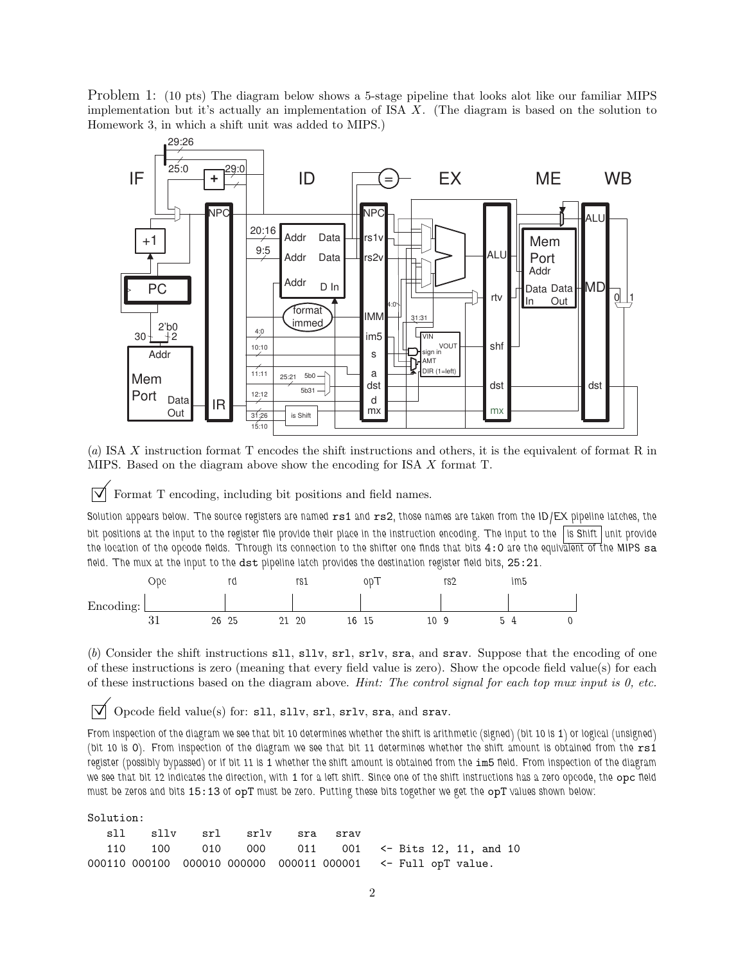Problem 1: (10 pts) The diagram below shows a 5-stage pipeline that looks alot like our familiar MIPS implementation but it's actually an implementation of ISA X. (The diagram is based on the solution to Homework 3, in which a shift unit was added to MIPS.)



(*a*) ISA X instruction format T encodes the shift instructions and others, it is the equivalent of format R in MIPS. Based on the diagram above show the encoding for ISA X format T.

 $\vert \nabla \vert$  Format T encoding, including bit positions and field names.

Solution appears below. The source registers are named  $rs1$  and  $rs2$ , those names are taken from the ID/EX pipeline latches, the *bit positions at the input to the register file provide their place in the instruction encoding. The input to the is Shift unit provide the location of the opcode fields. Through its connection to the shifter one finds that bits* 4:0 *are the equivalent of the MIPS* sa *field. The mux at the input to the* dst *pipeline latch provides the destination register field bits,* 25:21*.*

|                | ope      |    | rd |     | rs1      |    | 00T |    | rs <sub>2</sub> | im5 |  |
|----------------|----------|----|----|-----|----------|----|-----|----|-----------------|-----|--|
| Encoding:<br>ပ |          |    |    |     |          |    |     |    |                 |     |  |
|                | 01<br>υı | 26 | 25 | ົາ1 | 20<br>∠∪ | 16 | 15  | 10 |                 |     |  |

(*b*) Consider the shift instructions sll, sllv, srl, srlv, sra, and srav. Suppose that the encoding of one of these instructions is zero (meaning that every field value is zero). Show the opcode field value(s) for each of these instructions based on the diagram above. *Hint: The control signal for each top mux input is 0, etc.*

 $\triangledown$  Opcode field value(s) for: s11, s11v, sr1, sr1v, sra, and srav.

*From inspection of the diagram we see that bit 10 determines whether the shift is arithmetic (signed) (bit 10 is 1) or logical (unsigned) (bit 10 is* 0*). From inspection of the diagram we see that bit 11 determines whether the shift amount is obtained from the* rs1 *register (possibly bypassed) or if bit 11 is* 1 *whether the shift amount is obtained from the* im5 *field. From inspection of the diagram we see that bit 12 indicates the direction, with* 1 *for a left shift. Since one of the shift instructions has a zero opcode, the* opc *field must be zeros and bits* 15:13 *of* opT *must be zero. Putting these bits together we get the* opT *values shown below:*

Solution:

| sll |                                                              | sllv srl srlv sra srav |  |  |  |  |
|-----|--------------------------------------------------------------|------------------------|--|--|--|--|
|     | 110 100 010 000 011 001 $\leq$ -Bits 12, 11, and 10          |                        |  |  |  |  |
|     | 000110 000100 000010 000000 000011 000001 <- Full opT value. |                        |  |  |  |  |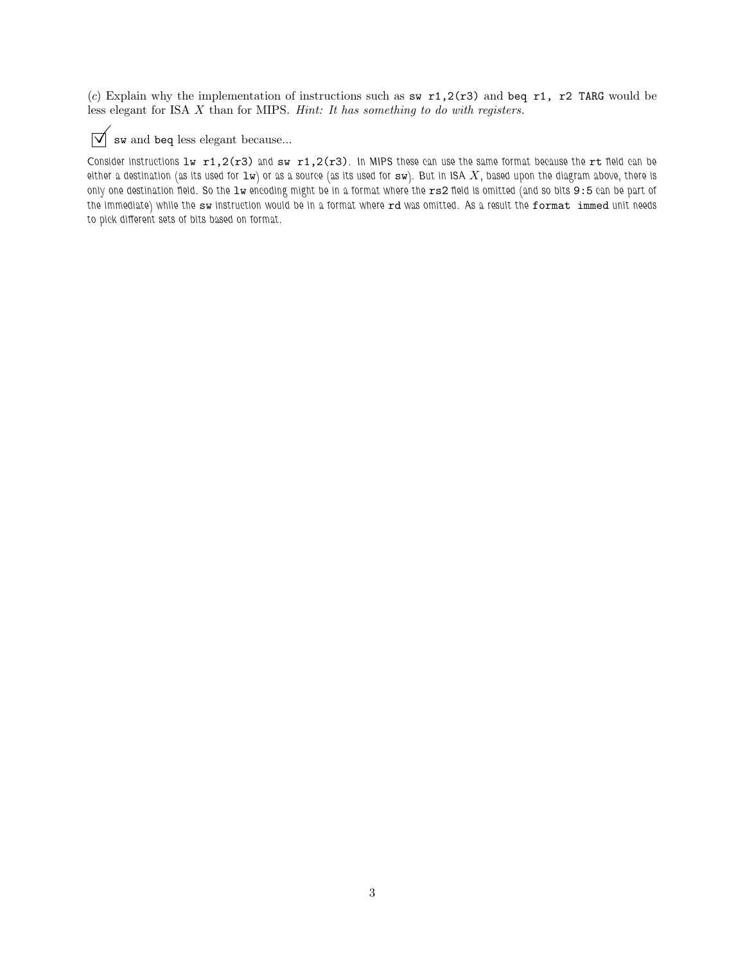(*c*) Explain why the implementation of instructions such as sw  $r1,2(r3)$  and beq r1, r2 TARG would be less elegant for ISA X than for MIPS. *Hint: It has something to do with registers.*



## $\sqrt{\phantom{a}}$  sw and beq less elegant because...

*Consider instructions* lw r1,2(r3) *and* sw r1,2(r3)*. In MIPS these can use the same format because the* rt *field can be either a destination (as its used for*  $1w$ ) or as a source (as its used for  $sw$ ). But in ISA  $X$ , based upon the diagram above, there is *only one destination field. So the* lw *encoding might be in a format where the* rs2 *field is omitted (and so bits* 9:5 *can be part of the immediate) while the* sw *instruction would be in a format where* rd *was omitted. As a result the* format immed *unit needs to pick different sets of bits based on format.*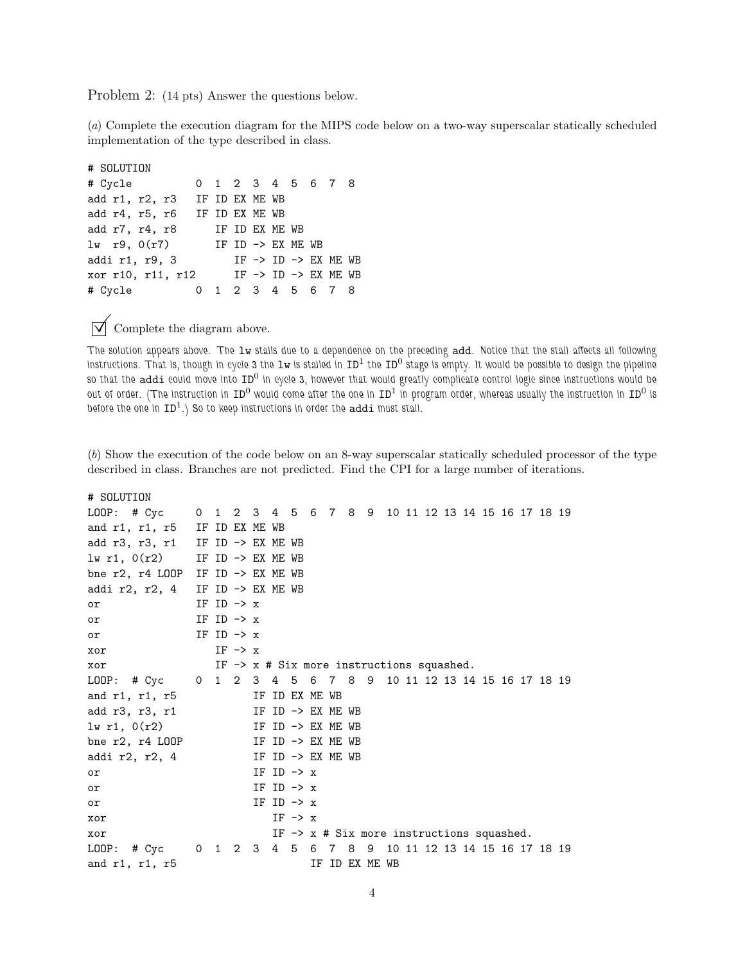Problem 2: (14 pts) Answer the questions below.

(*a*) Complete the execution diagram for the MIPS code below on a two-way superscalar statically scheduled implementation of the type described in class.

# SOLUTION # Cycle 0 1 2 3 4 5 6 7 8 add r1, r2, r3 IF ID EX ME WB add r4, r5, r6 IF ID EX ME WB add r7, r4, r8 IF ID EX ME WB  $\text{lw}$  r9,  $0(\text{r7})$  IF ID -> EX ME WB addi r1, r9, 3 IF -> ID -> EX ME WB xor r10, r11, r12 IF -> ID -> EX ME WB # Cycle 0 1 2 3 4 5 6 7 8

 $\triangledown$  Complete the diagram above.

*The solution appears above. The* lw *stalls due to a dependence on the preceding* add*. Notice that the stall affects all following* instructions. That is, though in cycle 3 the 1w is stalled in ID<sup>1</sup> the ID<sup>0</sup> stage is empty. It would be possible to design the pipeline *so that the* addi *could move into* ID<sup>0</sup> *in cycle 3, however that would greatly complicate control logic since instructions would be* out of order. (The instruction in ID<sup>0</sup> would come after the one in ID<sup>1</sup> in program order, whereas usually the instruction in ID<sup>0</sup> is *before the one in* ID<sup>1</sup> *.) So to keep instructions in order the* addi *must stall.*

(*b*) Show the execution of the code below on an 8-way superscalar statically scheduled processor of the type described in class. Branches are not predicted. Find the CPI for a large number of iterations.

# SOLUTION LOOP: # Cyc 0 1 2 3 4 5 6 7 8 9 10 11 12 13 14 15 16 17 18 19 and r1, r1, r5 IF ID EX ME WB add  $r3$ ,  $r3$ ,  $r1$  IF ID  $\rightarrow$  EX ME WB  $lw$  r1,  $O(r2)$  IF ID  $\rightarrow$  EX ME WB bne r2, r4 LOOP IF ID -> EX ME WB addi r2, r2, 4 IF ID  $\rightarrow$  EX ME WB or  $IF ID \rightarrow x$ or  $IF ID \rightarrow x$ or IF ID  $\rightarrow$  x xor  $IF \rightarrow x$ xor IF -> x # Six more instructions squashed. LOOP: # Cyc 0 1 2 3 4 5 6 7 8 9 10 11 12 13 14 15 16 17 18 19 and r1, r1, r5 IF ID EX ME WB add  $r3$ ,  $r3$ ,  $r1$  IF ID  $\rightarrow$  EX ME WB  $\text{lw } r1$ ,  $0(r2)$  IF ID -> EX ME WB bne  $r2$ ,  $r4$  LOOP IF ID  $\rightarrow$  EX ME WB addi r2, r2, 4 IF ID  $\rightarrow$  EX ME WB or  $IF ID \rightarrow x$ or  $IF ID \rightarrow x$ or IF ID  $\rightarrow x$ xor  $IF \rightarrow x$ xor IF -> x # Six more instructions squashed. LOOP: # Cyc 0 1 2 3 4 5 6 7 8 9 10 11 12 13 14 15 16 17 18 19 and r1, r1, r5 IF ID EX ME WB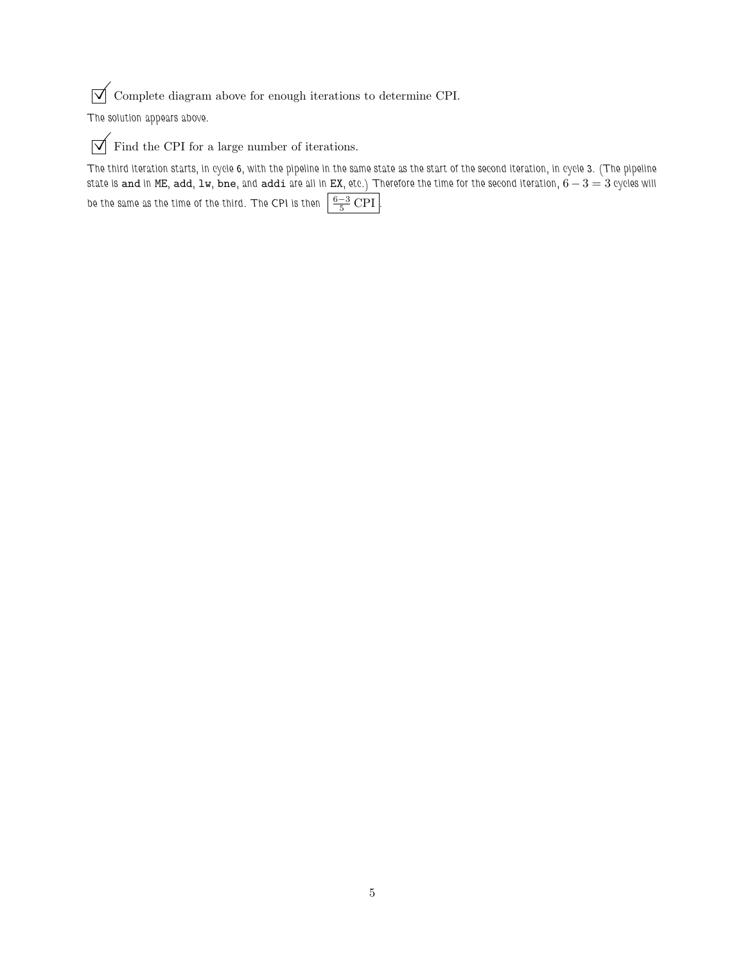$\sqrt{\phantom{a}}$  Complete diagram above for enough iterations to determine CPI.

*The solution appears above.*

 $\boxed{\bigvee}$  Find the CPI for a large number of iterations.

*The third iteration starts, in cycle 6, with the pipeline in the same state as the start of the second iteration, in cycle 3. (The pipeline state is* and *in* ME*,* add*,* lw*,* bne*, and* addi *are all in* EX*, etc.) Therefore the time for the second iteration,* 6 − 3 = 3 *cycles will* be the same as the time of the third. The CPI is then  $\left\lvert\frac{6-3}{5}\operatorname{CPI}\right\rvert$ .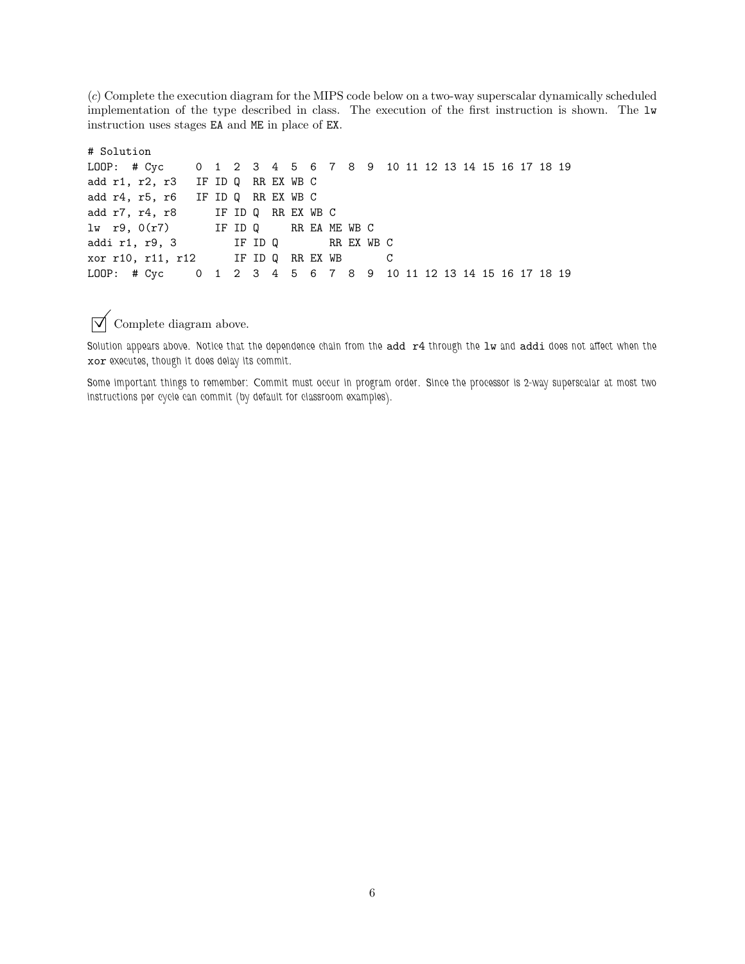(*c*) Complete the execution diagram for the MIPS code below on a two-way superscalar dynamically scheduled implementation of the type described in class. The execution of the first instruction is shown. The lw instruction uses stages EA and ME in place of EX.

```
# Solution
LOOP: # Cyc 0 1 2 3 4 5 6 7 8 9 10 11 12 13 14 15 16 17 18 19
add r1, r2, r3 IF ID Q RR EX WB C
add r4, r5, r6 IF ID Q RR EX WB C
add r7, r4, r8 IF ID Q RR EX WB C
lw r9, 0(r7) IF ID Q RR EA ME WB C
addi r1, r9, 3 IF ID Q RR EX WB C
xor r10, r11, r12 IF ID Q RR EX WB C
LOOP: # Cyc 0 1 2 3 4 5 6 7 8 9 10 11 12 13 14 15 16 17 18 19
```
 $\overrightarrow{\bigvee}$  Complete diagram above.

Solution appears above. Notice that the dependence chain from the add r4 through the lw and addi does not affect when the xor *executes, though it does delay its commit.*

*Some important things to remember: Commit must occur in program order. Since the processor is 2-way superscalar at most two instructions per cycle can commit (by default for classroom examples).*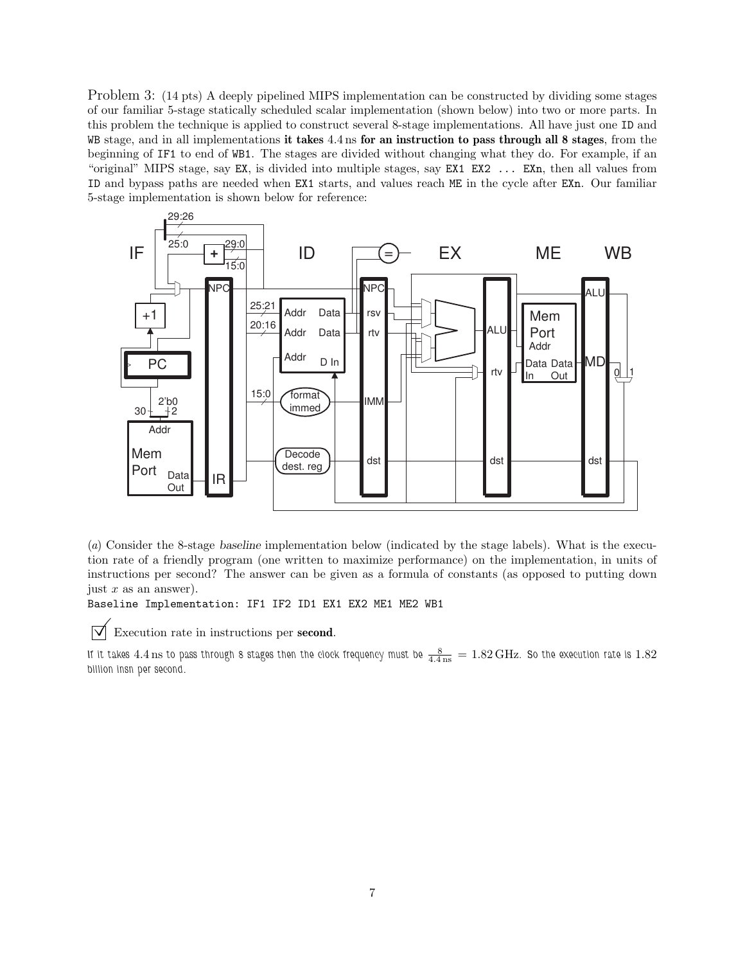Problem 3: (14 pts) A deeply pipelined MIPS implementation can be constructed by dividing some stages of our familiar 5-stage statically scheduled scalar implementation (shown below) into two or more parts. In this problem the technique is applied to construct several 8-stage implementations. All have just one ID and WB stage, and in all implementations it takes 4.4 ns for an instruction to pass through all 8 stages, from the beginning of IF1 to end of WB1. The stages are divided without changing what they do. For example, if an "original" MIPS stage, say EX, is divided into multiple stages, say EX1 EX2 ... EXn, then all values from ID and bypass paths are needed when EX1 starts, and values reach ME in the cycle after EXn. Our familiar 5-stage implementation is shown below for reference:



(*a*) Consider the 8-stage baseline implementation below (indicated by the stage labels). What is the execution rate of a friendly program (one written to maximize performance) on the implementation, in units of instructions per second? The answer can be given as a formula of constants (as opposed to putting down just  $x$  as an answer).

Baseline Implementation: IF1 IF2 ID1 EX1 EX2 ME1 ME2 WB1

 $\triangledown$  Execution rate in instructions per **second**.

If it takes  $4.4\,\rm{ns}$  to pass through 8 stages then the clock frequency must be  $\frac{8}{4.4\,\rm{ns}}=1.82\,\rm{GHz}$ . So the execution rate is  $1.82$ *billion insn per second.*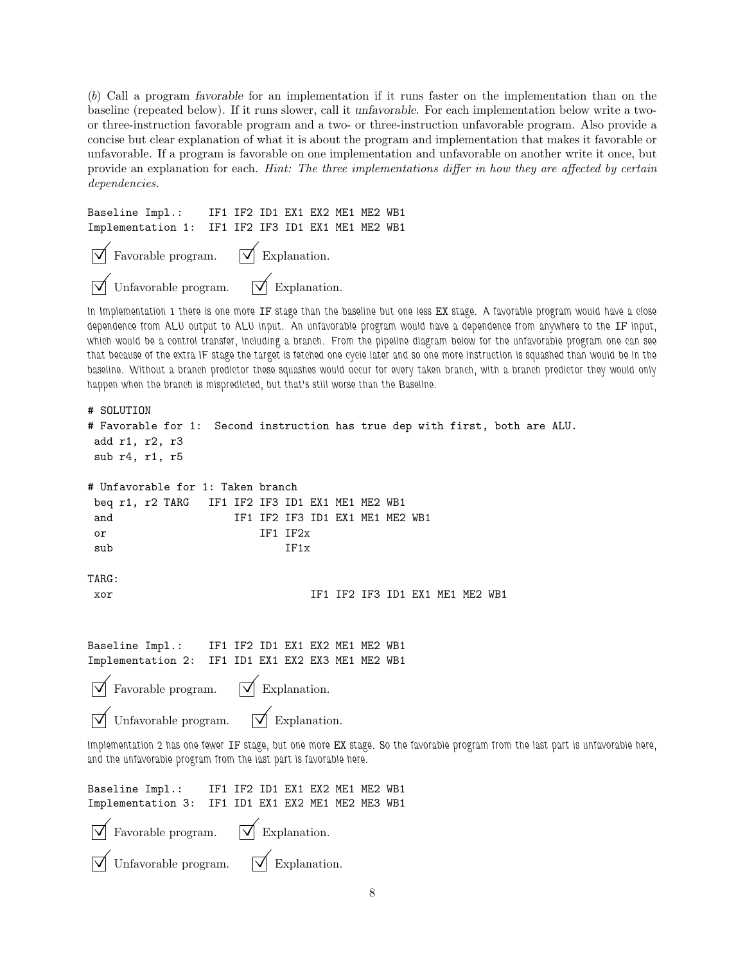(*b*) Call a program favorable for an implementation if it runs faster on the implementation than on the baseline (repeated below). If it runs slower, call it unfavorable. For each implementation below write a twoor three-instruction favorable program and a two- or three-instruction unfavorable program. Also provide a concise but clear explanation of what it is about the program and implementation that makes it favorable or unfavorable. If a program is favorable on one implementation and unfavorable on another write it once, but provide an explanation for each. *Hint: The three implementations differ in how they are affected by certain dependencies.*

```
Baseline Impl.: IF1 IF2 ID1 EX1 EX2 ME1 ME2 WB1
Implementation 1: IF1 IF2 IF3 ID1 EX1 ME1 ME2 WB1
    Favorable program. \forall Explanation.
    Unfavorable program. \forall Explanation.
```
*In Implementation 1 there is one more* IF *stage than the baseline but one less* EX *stage. A favorable program would have a close dependence from ALU output to ALU input. An unfavorable program would have a dependence from anywhere to the* IF *input, which would be a control transfer, including a branch. From the pipeline diagram below for the unfavorable program one can see that because of the extra IF stage the target is fetched one cycle later and so one more instruction is squashed than would be in the baseline. Without a branch predictor these squashes would occur for every taken branch, with a branch predictor they would only happen when the branch is mispredicted, but that's still worse than the Baseline.*

```
# SOLUTION
# Favorable for 1: Second instruction has true dep with first, both are ALU.
add r1, r2, r3
sub r4, r1, r5
# Unfavorable for 1: Taken branch
beq r1, r2 TARG IF1 IF2 IF3 ID1 EX1 ME1 ME2 WB1
and IF1 IF2 IF3 ID1 EX1 ME1 ME2 WB1
or IF1 IF2x
sub IF1x
TARG:
xor IF1 IF2 IF3 ID1 EX1 ME1 ME2 WB1
Baseline Impl.: IF1 IF2 ID1 EX1 EX2 ME1 ME2 WB1
Implementation 2: IF1 ID1 EX1 EX2 EX3 ME1 ME2 WB1
   Favorable program. \forall Explanation.
   Unfavorable program. |\mathcal{V}| Explanation.
Implementation 2 has one fewer IF stage, but one more EX stage. So the favorable program from the last part is unfavorable here,
and the unfavorable program from the last part is favorable here.
Baseline Impl.: IF1 IF2 ID1 EX1 EX2 ME1 ME2 WB1
Implementation 3: IF1 ID1 EX1 EX2 ME1 ME2 ME3 WB1
    Favorable program. \forall Explanation.
    Unfavorable program. \forall Explanation.
```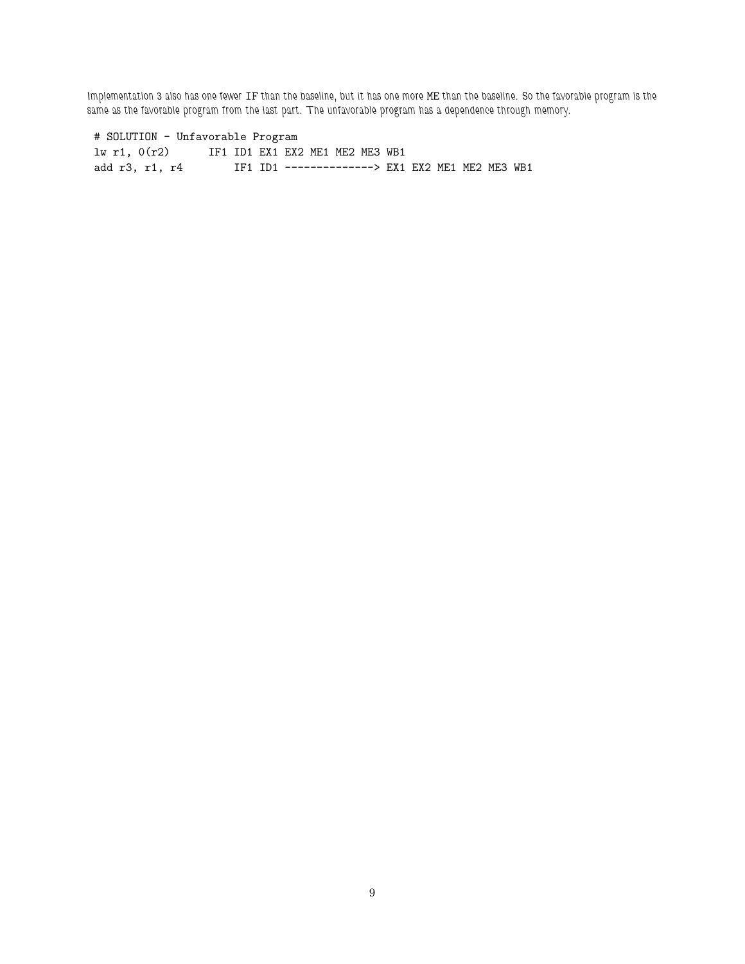*Implementation 3 also has one fewer* IF *than the baseline, but it has one more* ME *than the baseline. So the favorable program is the same as the favorable program from the last part. The unfavorable program has a dependence through memory.*

## # SOLUTION - Unfavorable Program

lw r1, 0(r2) IF1 ID1 EX1 EX2 ME1 ME2 ME3 WB1 add r3, r1, r4 IF1 ID1 --------------> EX1 EX2 ME1 ME2 ME3 WB1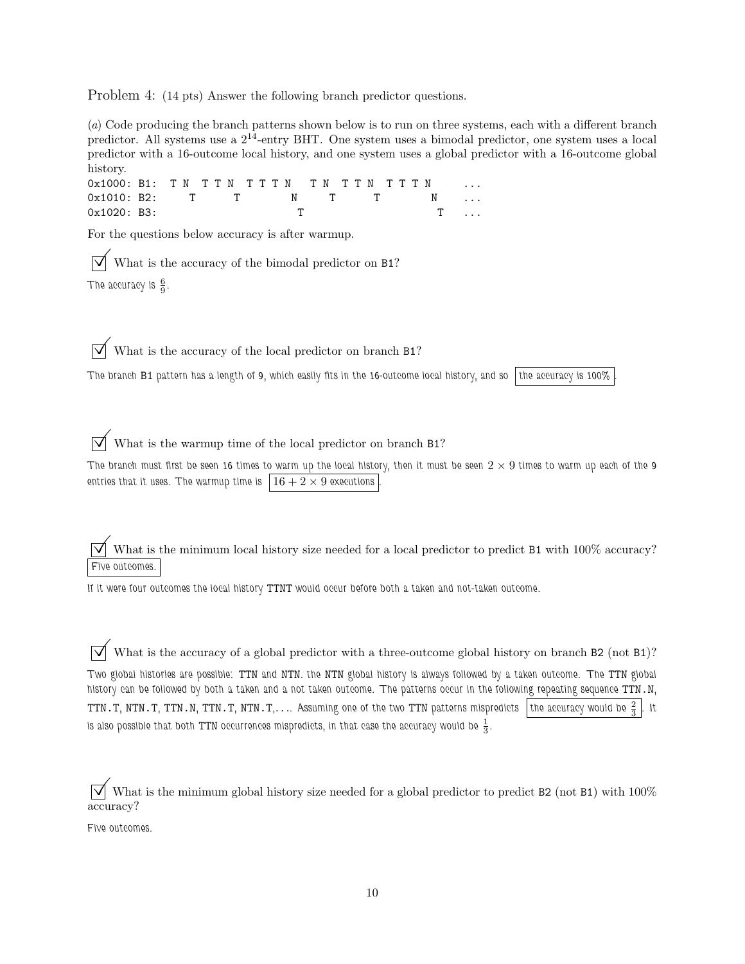Problem 4: (14 pts) Answer the following branch predictor questions.

(*a*) Code producing the branch patterns shown below is to run on three systems, each with a different branch predictor. All systems use a  $2^{14}$ -entry BHT. One system uses a bimodal predictor, one system uses a local predictor with a 16-outcome local history, and one system uses a global predictor with a 16-outcome global history.

0x1000: B1: TN TTN TTTN TN TTN TTTN 0x1010: B2: T T N T T N 0x1020: B3: T T ...

For the questions below accuracy is after warmup.

What is the accuracy of the bimodal predictor on B1? The accuracy is  $\frac{6}{9}$ .

What is the accuracy of the local predictor on branch B1?

*The branch* B1 *pattern has a length of 9, which easily fits in the 16-outcome local history, and so the accuracy is 100% .*

What is the warmup time of the local predictor on branch B1?

The branch must first be seen 16 times to warm up the local history, then it must be seen  $2 \times 9$  times to warm up each of the 9 entries that it uses. The warmup time is  $16 + 2 \times 9$  executions

What is the minimum local history size needed for a local predictor to predict B1 with 100% accuracy? *Five outcomes.*

*If it were four outcomes the local history* TTNT *would occur before both a taken and not-taken outcome.*

What is the accuracy of a global predictor with a three-outcome global history on branch B2 (not B1)? *Two global histories are possible:* TTN *and* NTN*. the* NTN *global history is always followed by a taken outcome. The* TTN *global history can be followed by both a taken and a not taken outcome. The patterns occur in the following repeating sequence* TTN.N*,* <code>TTN.T</code>, <code>NTN.T</code>, <code>TTN.N</code>, <code>TTN.T</code>, <code>NTN.T</code>, $\ldots$  <code>Assuming one of the two <code>TTN</code> patterns mispredicts <code>ithe</code> accuracy would be  $\frac{2}{3}$   $\mid$  <code>It</code></code> is also possible that both TTN occurrences mispredicts, in that case the accuracy would be  $\frac{1}{3}.$ 

 $\sqrt{\phantom{a}}$  What is the minimum global history size needed for a global predictor to predict B2 (not B1) with 100% accuracy?

*Five outcomes.*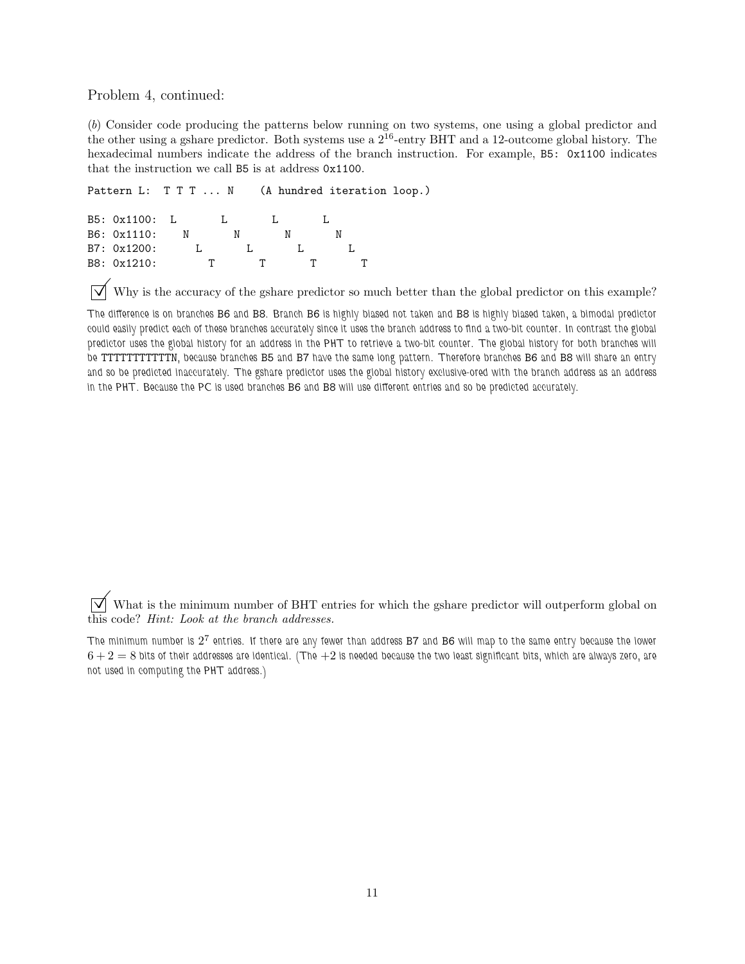Problem 4, continued:

(*b*) Consider code producing the patterns below running on two systems, one using a global predictor and the other using a gshare predictor. Both systems use a  $2^{16}$ -entry BHT and a 12-outcome global history. The hexadecimal numbers indicate the address of the branch instruction. For example, B5: 0x1100 indicates that the instruction we call B5 is at address 0x1100.

```
Pattern L: T T T ... N (A hundred iteration loop.)
B5: 0x1100: L L L L L
```
B6: 0x1110: N N N N B7: 0x1200: L L L L L B8: 0x1210: T T T T T

Why is the accuracy of the gshare predictor so much better than the global predictor on this example?

*The difference is on branches* B6 *and* B8*. Branch* B6 *is highly biased not taken and* B8 *is highly biased taken, a bimodal predictor could easily predict each of these branches accurately since it uses the branch address to find a two-bit counter. In contrast the global predictor uses the global history for an address in the PHT to retrieve a two-bit counter. The global history for both branches will be* TTTTTTTTTTTN*, because branches* B5 *and* B7 *have the same long pattern. Therefore branches* B6 *and* B8 *will share an entry and so be predicted inaccurately. The gshare predictor uses the global history exclusive-ored with the branch address as an address in the PHT. Because the PC is used branches* B6 *and* B8 *will use different entries and so be predicted accurately.*

 $\triangledown$  What is the minimum number of BHT entries for which the gshare predictor will outperform global on this code? *Hint: Look at the branch addresses.*

The minimum number is  $2^7$  entries. If there are any fewer than address  $B7$  and  $B6$  will map to the same entry because the lower 6 + 2 = 8 *bits of their addresses are identical. (The* +2 *is needed because the two least significant bits, which are always zero, are not used in computing the PHT address.)*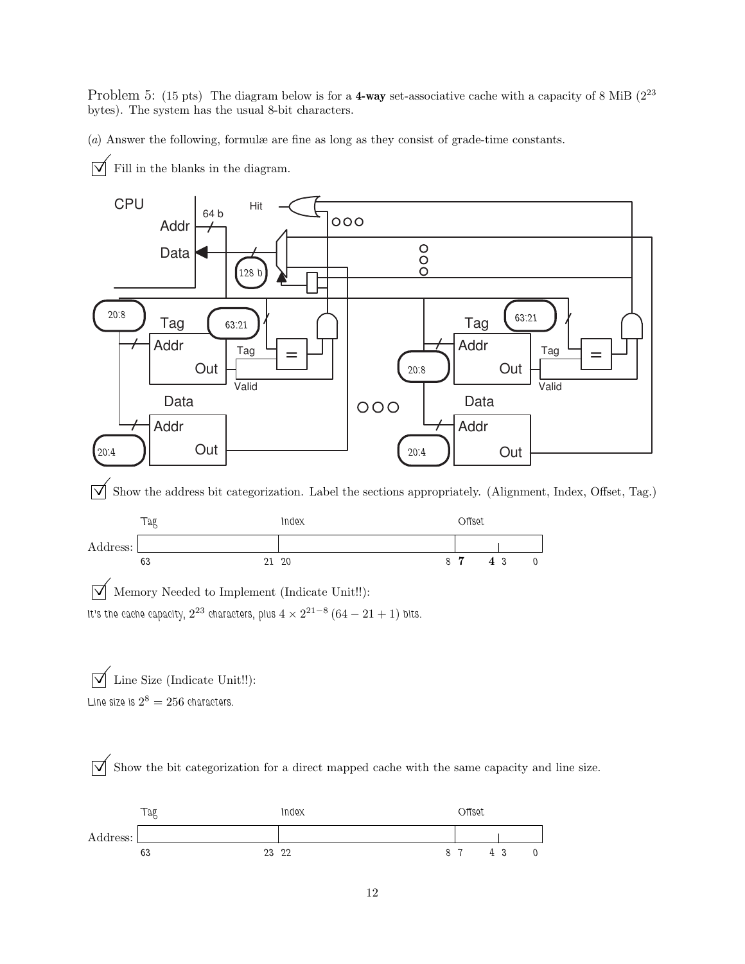Problem 5: (15 pts) The diagram below is for a 4-way set-associative cache with a capacity of 8 MiB (2<sup>23</sup>) bytes). The system has the usual 8-bit characters.

(*a*) Answer the following, formulæ are fine as long as they consist of grade-time constants.

 $\overline{\vee}$  Fill in the blanks in the diagram.



 $\overrightarrow{\mathcal{A}}$  Show the address bit categorization. Label the sections appropriately. (Alignment, Index, Offset, Tag.)



 $\boxed{\bigvee}$  Memory Needed to Implement (Indicate Unit!!): It's the cache capacity,  $2^{23}$  characters, plus  $4 \times 2^{21-8}$   $(64-21+1)$  bits.

 $\boxed{\bigtriangledown}$  Line Size (Indicate Unit!!): Line size is  $2^8 = 256$  characters.

 $\overline{\bigvee}$  Show the bit categorization for a direct mapped cache with the same capacity and line size.

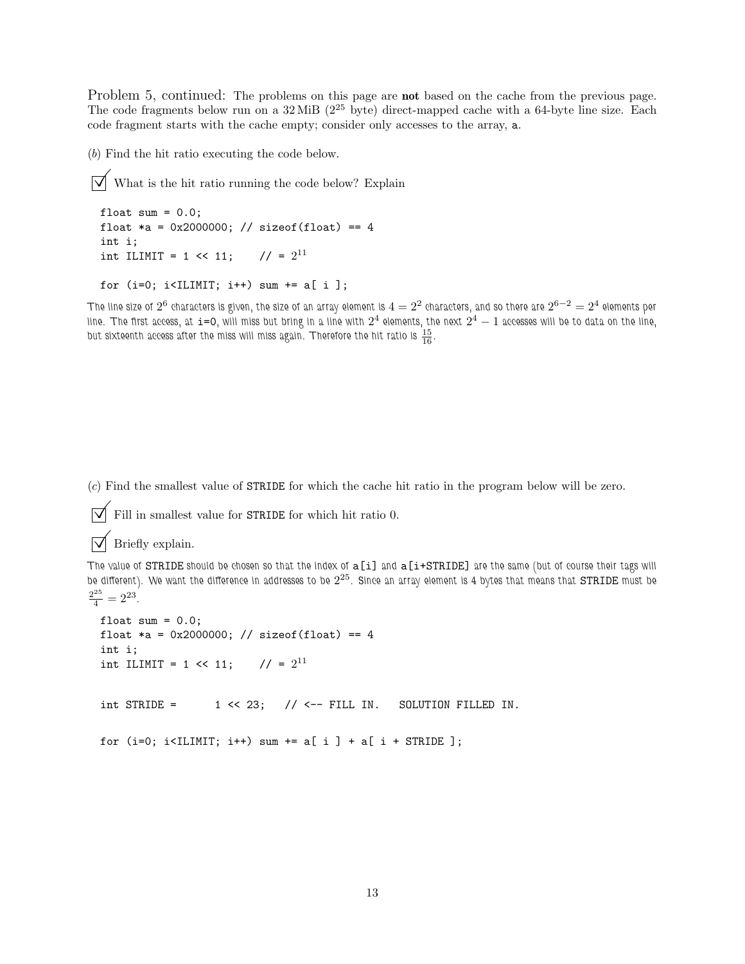Problem 5, continued: The problems on this page are **not** based on the cache from the previous page. The code fragments below run on a  $32 \text{ MiB}$  ( $2^{25}$  byte) direct-mapped cache with a 64-byte line size. Each code fragment starts with the cache empty; consider only accesses to the array, a.

(*b*) Find the hit ratio executing the code below.

 $\triangledown$  What is the hit ratio running the code below? Explain

```
float sum = 0.0;
float *a = 0x2000000; // sizeof(float) == 4
int i;
int ILIMIT = 1 << 11; // = 2^{11}
```
for  $(i=0; i sum  $+= a[i];$$ 

 $\pi$ he line size of  $2^6$  characters is given, the size of an array element is  $4=2^2$  characters, and so there are  $2^{6-2}=2^4$  elements per line. The first access, at  $i$ =0, will miss but bring in a line with  $2^4$  elements, the next  $2^4-1$  accesses will be to data on the line, but sixteenth access after the miss will miss again. Therefore the hit ratio is  $\frac{15}{16}$ .

(*c*) Find the smallest value of STRIDE for which the cache hit ratio in the program below will be zero.

```
\triangledown Fill in smallest value for STRIDE for which hit ratio 0.
```
 $\triangledown$  Briefly explain.

*The value of* STRIDE *should be chosen so that the index of* a[i] *and* a[i+STRIDE] *are the same (but of course their tags will be different). We want the difference in addresses to be* 2 <sup>25</sup>*. Since an array element is 4 bytes that means that* STRIDE *must be*  $\frac{2^{25}}{4} = 2^{23}$ .

```
float sum = 0.0;
float *a = 0x2000000; // sizeof(float) == 4
int i;
int ILIMIT = 1 << 11; // = 2^{11}int STRIDE = 1 \le 23; \frac{1}{5} \le -7 FILL IN. SOLUTION FILLED IN.
for (i=0; i<IIIMIT; i++) sum += a[i] + a[i + STRIDE];
```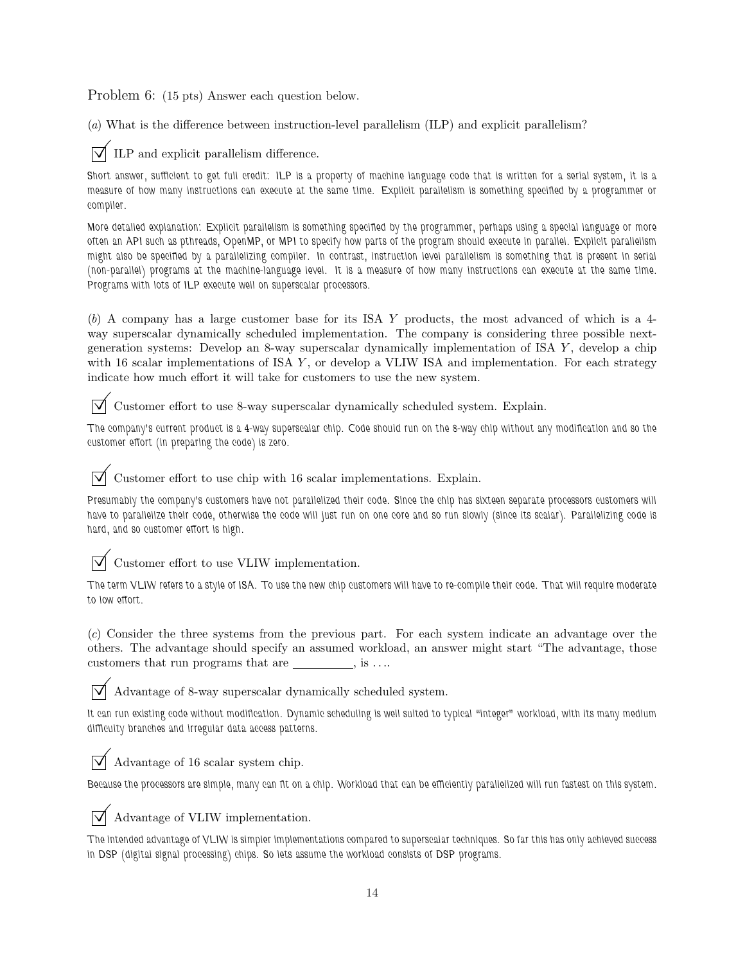Problem 6: (15 pts) Answer each question below.

(*a*) What is the difference between instruction-level parallelism (ILP) and explicit parallelism?

ILP and explicit parallelism difference.

*Short answer, sufficient to get full credit: ILP is a property of machine language code that is written for a serial system, it is a measure of how many instructions can execute at the same time. Explicit parallelism is something specified by a programmer or compiler.*

*More detailed explanation: Explicit parallelism is something specified by the programmer, perhaps using a special language or more often an API such as pthreads, OpenMP, or MPI to specify how parts of the program should execute in parallel. Explicit parallelism might also be specified by a parallelizing compiler. In contrast, instruction level parallelism is something that is present in serial (non-parallel) programs at the machine-language level. It is a measure of how many instructions can execute at the same time. Programs with lots of ILP execute well on superscalar processors.*

(*b*) A company has a large customer base for its ISA Y products, the most advanced of which is a 4 way superscalar dynamically scheduled implementation. The company is considering three possible nextgeneration systems: Develop an 8-way superscalar dynamically implementation of ISA Y , develop a chip with 16 scalar implementations of ISA  $Y$ , or develop a VLIW ISA and implementation. For each strategy indicate how much effort it will take for customers to use the new system.

 $\sqrt{\phantom{a}}$  Customer effort to use 8-way superscalar dynamically scheduled system. Explain.

*The company's current product is a 4-way superscalar chip. Code should run on the 8-way chip without any modification and so the customer effort (in preparing the code) is zero.*

Customer effort to use chip with 16 scalar implementations. Explain.

*Presumably the company's customers have not parallelized their code. Since the chip has sixteen separate processors customers will have to parallelize their code, otherwise the code will just run on one core and so run slowly (since its scalar). Parallelizing code is hard, and so customer effort is high.*

 $\triangledown$  Customer effort to use VLIW implementation.

*The term VLIW refers to a style of ISA. To use the new chip customers will have to re-compile their code. That will require moderate to low effort.*

(*c*) Consider the three systems from the previous part. For each system indicate an advantage over the others. The advantage should specify an assumed workload, an answer might start "The advantage, those customers that run programs that are  $\qquad \qquad$ , is ....

 $\triangledown$  Advantage of 8-way superscalar dynamically scheduled system.

It can run existing code without modification. Dynamic scheduling is well suited to typical "integer" workload, with its many medium *difficulty branches and irregular data access patterns.*

 $\triangledown$  Advantage of 16 scalar system chip.

*Because the processors are simple, many can fit on a chip. Workload that can be efficiently parallelized will run fastest on this system.*

 $\triangledown$  Advantage of VLIW implementation.

*The intended advantage of VLIW is simpler implementations compared to superscalar techniques. So far this has only achieved success in DSP (digital signal processing) chips. So lets assume the workload consists of DSP programs.*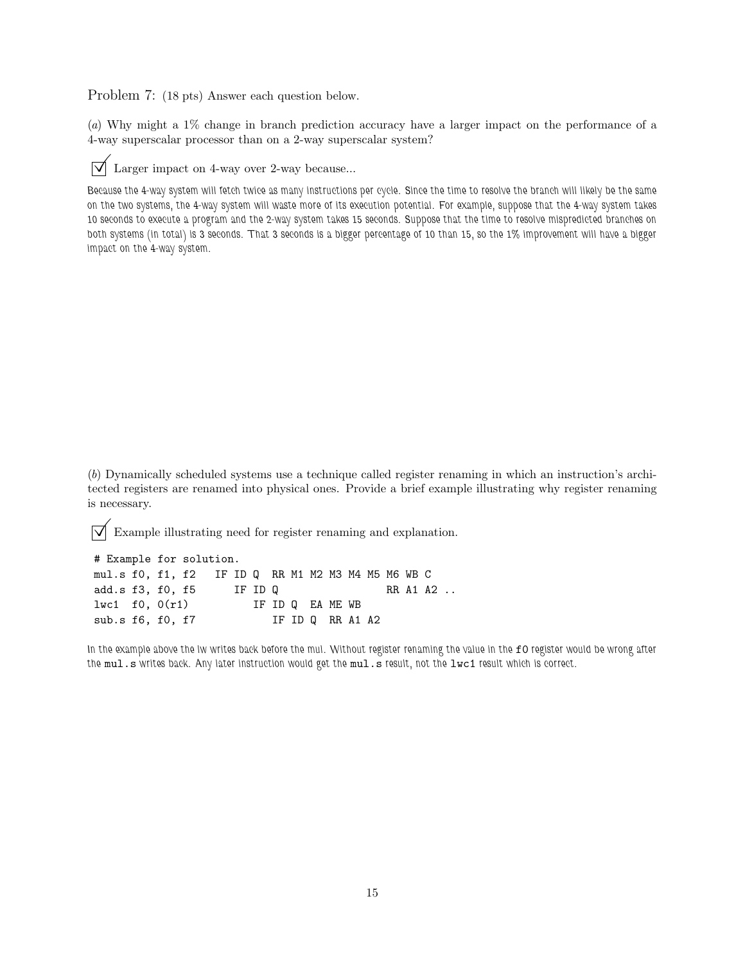Problem 7: (18 pts) Answer each question below.

(*a*) Why might a 1% change in branch prediction accuracy have a larger impact on the performance of a 4-way superscalar processor than on a 2-way superscalar system?



 $\overrightarrow{\mathsf{V}}$  Larger impact on 4-way over 2-way because...

*Because the 4-way system will fetch twice as many instructions per cycle. Since the time to resolve the branch will likely be the same on the two systems, the 4-way system will waste more of its execution potential. For example, suppose that the 4-way system takes 10 seconds to execute a program and the 2-way system takes 15 seconds. Suppose that the time to resolve mispredicted branches on both systems (in total) is 3 seconds. That 3 seconds is a bigger percentage of 10 than 15, so the 1% improvement will have a bigger impact on the 4-way system.*

(*b*) Dynamically scheduled systems use a technique called register renaming in which an instruction's architected registers are renamed into physical ones. Provide a brief example illustrating why register renaming is necessary.

 $\overline{\vee}$  Example illustrating need for register renaming and explanation.

| # Example for solution.                            |  |  |  |         |  |  |  |                  |  |  |  |  |  |          |  |
|----------------------------------------------------|--|--|--|---------|--|--|--|------------------|--|--|--|--|--|----------|--|
| mul.s f0, f1, f2 IF ID Q RR M1 M2 M3 M4 M5 M6 WB C |  |  |  |         |  |  |  |                  |  |  |  |  |  |          |  |
| add.s f3, f0, f5                                   |  |  |  | IF ID Q |  |  |  |                  |  |  |  |  |  | RR A1 A2 |  |
| 1 w c 1 f 0, 0(r1)                                 |  |  |  |         |  |  |  | IF ID Q EA ME WB |  |  |  |  |  |          |  |
| sub.s $f6$ , $f0$ , $f7$                           |  |  |  |         |  |  |  | IF ID Q RR A1 A2 |  |  |  |  |  |          |  |

In the example above the lw writes back before the mul. Without register renaming the value in the f0 register would be wrong after *the* mul.s *writes back. Any later instruction would get the* mul.s *result, not the* lwc1 *result which is correct.*